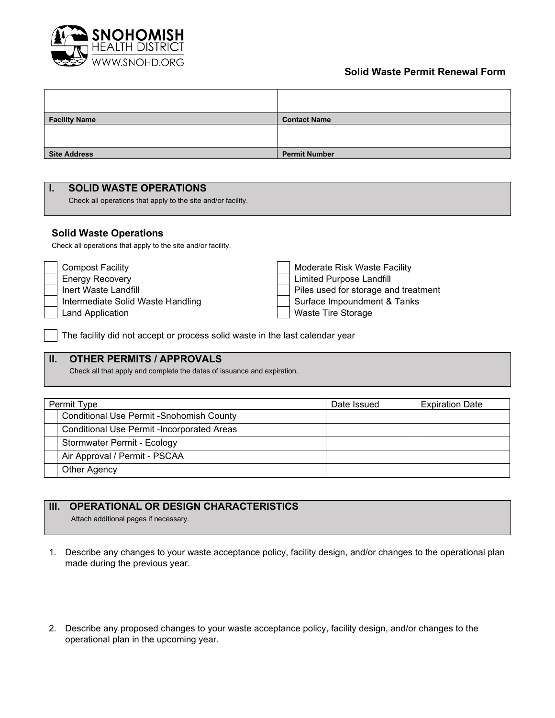

# **Solid Waste Permit Renewal Form**

| <b>Facility Name</b> | <b>Contact Name</b>  |
|----------------------|----------------------|
|                      |                      |
|                      |                      |
| <b>Site Address</b>  | <b>Permit Number</b> |

#### **I. SOLID WASTE OPERATIONS**

Check all operations that apply to the site and/or facility.

#### **Solid Waste Operations**

Check all operations that apply to the site and/or facility.

| <b>Compost Facility</b>           | Moderate Risk Waste Facility         |  |  |
|-----------------------------------|--------------------------------------|--|--|
| <b>Energy Recovery</b>            | Limited Purpose Landfill             |  |  |
| Inert Waste Landfill              | Piles used for storage and treatment |  |  |
| Intermediate Solid Waste Handling | Surface Impoundment & Tanks          |  |  |
| Land Application                  | Waste Tire Storage                   |  |  |

The facility did not accept or process solid waste in the last calendar year

# **II. OTHER PERMITS / APPROVALS**

Check all that apply and complete the dates of issuance and expiration.

| Permit Type                                       | Date Issued | <b>Expiration Date</b> |
|---------------------------------------------------|-------------|------------------------|
| Conditional Use Permit - Snohomish County         |             |                        |
| <b>Conditional Use Permit -Incorporated Areas</b> |             |                        |
| Stormwater Permit - Ecology                       |             |                        |
| Air Approval / Permit - PSCAA                     |             |                        |
| Other Agency                                      |             |                        |

## **III. OPERATIONAL OR DESIGN CHARACTERISTICS**

Attach additional pages if necessary.

- 1. Describe any changes to your waste acceptance policy, facility design, and/or changes to the operational plan made during the previous year.
- 2. Describe any proposed changes to your waste acceptance policy, facility design, and/or changes to the operational plan in the upcoming year.